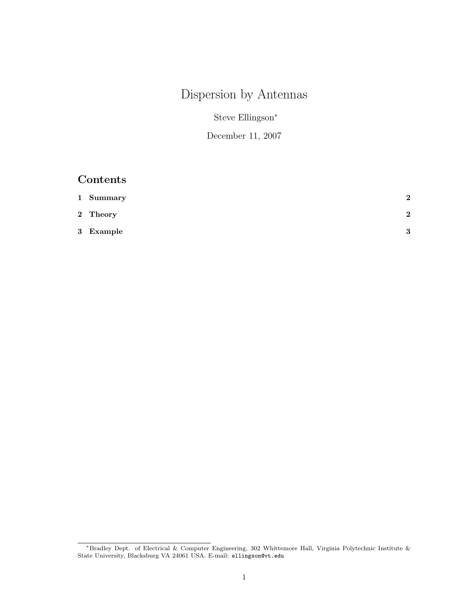# Dispersion by Antennas

Steve Ellingson<sup>∗</sup>

December 11, 2007

## Contents

| 1 Summary | $\overline{2}$ |
|-----------|----------------|
| 2 Theory  | $\mathbf{2}$   |
| 3 Example | $\mathbf Q$    |

<sup>∗</sup>Bradley Dept. of Electrical & Computer Engineering, 302 Whittemore Hall, Virginia Polytechnic Institute & State University, Blacksburg VA 24061 USA. E-mail: ellingson@vt.edu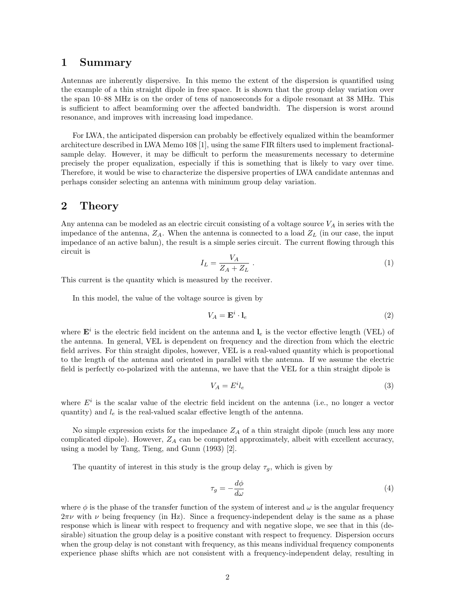### 1 Summary

Antennas are inherently dispersive. In this memo the extent of the dispersion is quantified using the example of a thin straight dipole in free space. It is shown that the group delay variation over the span 10–88 MHz is on the order of tens of nanoseconds for a dipole resonant at 38 MHz. This is sufficient to affect beamforming over the affected bandwidth. The dispersion is worst around resonance, and improves with increasing load impedance.

For LWA, the anticipated dispersion can probably be effectively equalized within the beamformer architecture described in LWA Memo 108 [1], using the same FIR filters used to implement fractionalsample delay. However, it may be difficult to perform the measurements necessary to determine precisely the proper equalization, especially if this is something that is likely to vary over time. Therefore, it would be wise to characterize the dispersive properties of LWA candidate antennas and perhaps consider selecting an antenna with minimum group delay variation.

#### 2 Theory

Any antenna can be modeled as an electric circuit consisting of a voltage source  $V_A$  in series with the impedance of the antenna,  $Z_A$ . When the antenna is connected to a load  $Z_L$  (in our case, the input impedance of an active balun), the result is a simple series circuit. The current flowing through this circuit is

$$
I_L = \frac{V_A}{Z_A + Z_L} \tag{1}
$$

This current is the quantity which is measured by the receiver.

In this model, the value of the voltage source is given by

$$
V_A = \mathbf{E}^i \cdot \mathbf{l}_e \tag{2}
$$

where  $\mathbf{E}^i$  is the electric field incident on the antenna and  $\mathbf{l}_e$  is the vector effective length (VEL) of the antenna. In general, VEL is dependent on frequency and the direction from which the electric field arrives. For thin straight dipoles, however, VEL is a real-valued quantity which is proportional to the length of the antenna and oriented in parallel with the antenna. If we assume the electric field is perfectly co-polarized with the antenna, we have that the VEL for a thin straight dipole is

$$
V_A = E^i l_e \tag{3}
$$

where  $E^i$  is the scalar value of the electric field incident on the antenna (i.e., no longer a vector quantity) and  $l_e$  is the real-valued scalar effective length of the antenna.

No simple expression exists for the impedance  $Z_A$  of a thin straight dipole (much less any more complicated dipole). However,  $Z_A$  can be computed approximately, albeit with excellent accuracy, using a model by Tang, Tieng, and Gunn (1993) [2].

The quantity of interest in this study is the group delay  $\tau_g$ , which is given by

$$
\tau_g = -\frac{d\phi}{d\omega} \tag{4}
$$

where  $\phi$  is the phase of the transfer function of the system of interest and  $\omega$  is the angular frequency  $2\pi\nu$  with  $\nu$  being frequency (in Hz). Since a frequency-independent delay is the same as a phase response which is linear with respect to frequency and with negative slope, we see that in this (desirable) situation the group delay is a positive constant with respect to frequency. Dispersion occurs when the group delay is not constant with frequency, as this means individual frequency components experience phase shifts which are not consistent with a frequency-independent delay, resulting in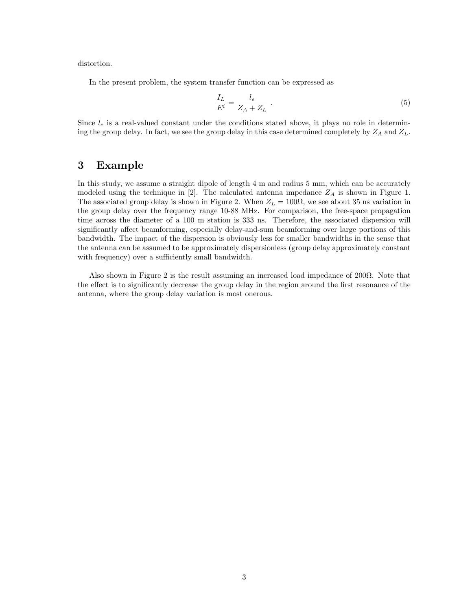distortion.

In the present problem, the system transfer function can be expressed as

$$
\frac{I_L}{E^i} = \frac{l_e}{Z_A + Z_L} \tag{5}
$$

Since  $l_e$  is a real-valued constant under the conditions stated above, it plays no role in determining the group delay. In fact, we see the group delay in this case determined completely by  $Z_A$  and  $Z_L$ .

### 3 Example

In this study, we assume a straight dipole of length 4 m and radius 5 mm, which can be accurately modeled using the technique in [2]. The calculated antenna impedance  $Z_A$  is shown in Figure 1. The associated group delay is shown in Figure 2. When  $Z_L = 100\Omega$ , we see about 35 ns variation in the group delay over the frequency range 10-88 MHz. For comparison, the free-space propagation time across the diameter of a 100 m station is 333 ns. Therefore, the associated dispersion will significantly affect beamforming, especially delay-and-sum beamforming over large portions of this bandwidth. The impact of the dispersion is obviously less for smaller bandwidths in the sense that the antenna can be assumed to be approximately dispersionless (group delay approximately constant with frequency) over a sufficiently small bandwidth.

Also shown in Figure 2 is the result assuming an increased load impedance of  $200\Omega$ . Note that the effect is to significantly decrease the group delay in the region around the first resonance of the antenna, where the group delay variation is most onerous.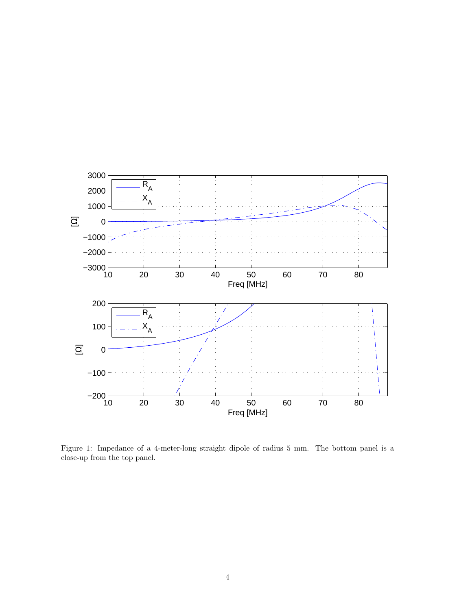

Figure 1: Impedance of a 4-meter-long straight dipole of radius 5 mm. The bottom panel is a close-up from the top panel.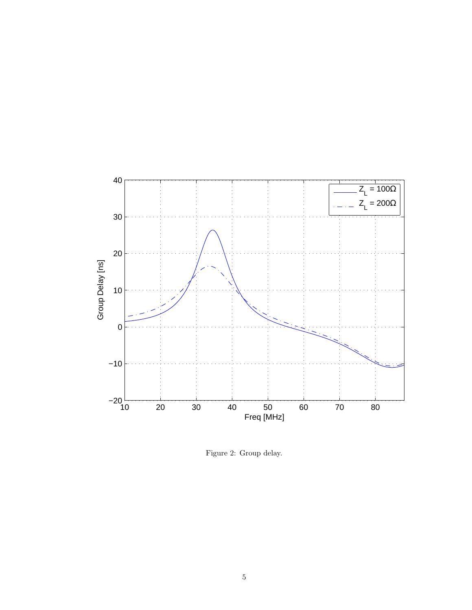

Figure 2: Group delay.